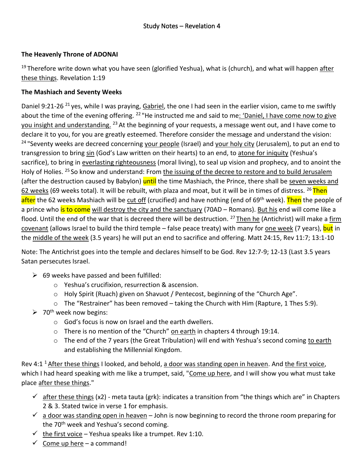## **The Heavenly Throne of ADONAI**

 $19$ Therefore write down what you have seen (glorified Yeshua), what is (church), and what will happen after these things. Revelation 1:19

## **The Mashiach and Seventy Weeks**

Daniel 9:21-26 <sup>21</sup> yes, while I was praying, Gabriel, the one I had seen in the earlier vision, came to me swiftly about the time of the evening offering. <sup>22</sup> "He instructed me and said to me: 'Daniel, I have come now to give you insight and understanding. <sup>23</sup> At the beginning of your requests, a message went out, and I have come to declare it to you, for you are greatly esteemed. Therefore consider the message and understand the vision: <sup>24</sup> "Seventy weeks are decreed concerning your people (Israel) and your holy city (Jerusalem), to put an end to transgression to bring sin (God's Law written on their hearts) to an end, to atone for iniquity (Yeshua's sacrifice), to bring in everlasting righteousness (moral living), to seal up vision and prophecy, and to anoint the Holy of Holies. <sup>25</sup> So know and understand: From the issuing of the decree to restore and to build Jerusalem (after the destruction caused by Babylon) until the time Mashiach, the Prince, there shall be seven weeks and 62 weeks (69 weeks total). It will be rebuilt, with plaza and moat, but it will be in times of distress.  $^{26}$ Then after the 62 weeks Mashiach will be cut off (crucified) and have nothing (end of 69<sup>th</sup> week). Then the people of a prince who is to come will destroy the city and the sanctuary (70AD – Romans). But his end will come like a flood. Until the end of the war that is decreed there will be destruction. <sup>27</sup> Then he (Antichrist) will make a firm covenant (allows Israel to build the third temple – false peace treaty) with many for <u>one week</u> (7 years), but in the middle of the week (3.5 years) he will put an end to sacrifice and offering. Matt 24:15, Rev 11:7; 13:1-10

Note: The Antichrist goes into the temple and declares himself to be God. Rev 12:7-9; 12-13 (Last 3.5 years Satan persecutes Israel.

- $\geq$  69 weeks have passed and been fulfilled:
	- o Yeshua's crucifixion, resurrection & ascension.
	- o Holy Spirit (Ruach) given on Shavuot / Pentecost, beginning of the "Church Age".
	- $\circ$  The "Restrainer" has been removed taking the Church with Him (Rapture, 1 Thes 5:9).
- $\geq 70^{\text{th}}$  week now begins:
	- o God's focus is now on Israel and the earth dwellers.
	- $\circ$  There is no mention of the "Church" on earth in chapters 4 through 19:14.
	- $\circ$  The end of the 7 years (the Great Tribulation) will end with Yeshua's second coming to earth and establishing the Millennial Kingdom.

Rev 4:1<sup>1</sup> After these things I looked, and behold, a door was standing open in heaven. And the first voice, which I had heard speaking with me like a trumpet, said, "Come up here, and I will show you what must take place after these things."

- $\checkmark$  after these things (x2) meta tauta (grk): indicates a transition from "the things which are" in Chapters 2 & 3. Stated twice in verse 1 for emphasis.
- $\checkmark$  a door was standing open in heaven John is now beginning to record the throne room preparing for the 70<sup>th</sup> week and Yeshua's second coming.
- $\checkmark$  the first voice Yeshua speaks like a trumpet. Rev 1:10.
- $\checkmark$  Come up here a command!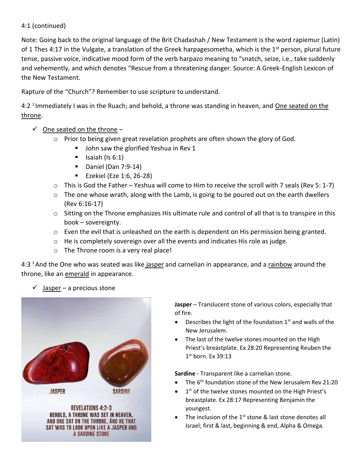## 4:1 (continued)

Note: Going back to the original language of the Brit Chadashah / New Testament is the word rapiemur (Latin) of 1 Thes 4:17 in the Vulgate, a translation of the Greek harpagesometha, which is the 1<sup>st</sup> person, plural future tense, passive voice, indicative mood form of the verb harpazo meaning to "snatch, seize, i.e., take suddenly and vehemently, and which denotes "Rescue from a threatening danger. Source: A Greek-English Lexicon of the New Testament.

Rapture of the "Church"? Remember to use scripture to understand.

4:2<sup>2</sup> Immediately I was in the Ruach; and behold, a throne was standing in heaven, and One seated on the throne.

- $\checkmark$  One seated on the throne -
	- $\circ$  Prior to being given great revelation prophets are often shown the glory of God.
		- John saw the glorified Yeshua in Rev 1
		- Isaiah (Is 6:1)
		- Daniel (Dan 7:9-14)
		- Ezekiel (Eze 1:6, 26-28)
	- $\circ$  This is God the Father Yeshua will come to Him to receive the scroll with 7 seals (Rev 5: 1-7)
	- $\circ$  The one whose wrath, along with the Lamb, is going to be poured out on the earth dwellers (Rev 6:16-17)
	- $\circ$  Sitting on the Throne emphasizes His ultimate rule and control of all that is to transpire in this book – sovereignty.
	- o Even the evil that is unleashed on the earth is dependent on His permission being granted.
	- $\circ$  He is completely sovereign over all the events and indicates His role as judge.
	- o The Throne room is a very real place!

4:3<sup>3</sup> And the One who was seated was like jasper and carnelian in appearance, and a rainbow around the throne, like an emerald in appearance.

 $Jasper - a precious stone$ 



**REVELATIONS 4:2-3** BEHOLD, A THRONE WAS SET IN HEAVEN, AND ONE SAT ON THE THRONE. AND HE THAT SAT WAS TO LOOK UPON LIKE A JASPER AND A SARDINE STONE

**Jasper** – Translucent stone of various colors, especially that of fire.

- Describes the light of the foundation 1st and walls of the New Jerusalem.
- The last of the twelve stones mounted on the High Priest's breastplate. Ex 28:20 Representing Reuben the  $1<sup>st</sup>$  born. Ex 39:13

**Sardine** - Transparent like a carnelian stone.

- The 6<sup>th</sup> foundation stone of the New Jerusalem Rev 21:20
- 1<sup>st</sup> of the twelve stones mounted on the High Priest's breastplate. Ex 28:17 Representing Benjamin the youngest.
- The inclusion of the  $1<sup>st</sup>$  stone & last stone denotes all Israel; first & last, beginning & end, Alpha & Omega.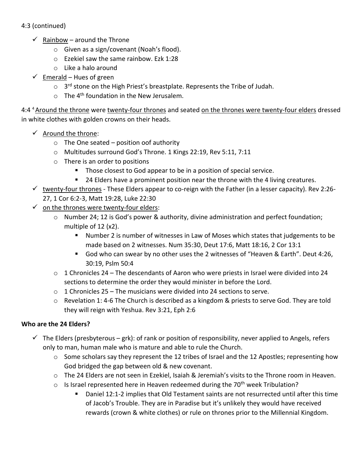# 4:3 (continued)

- $\checkmark$  Rainbow around the Throne
	- o Given as a sign/covenant (Noah's flood).
	- o Ezekiel saw the same rainbow. Ezk 1:28
	- $\circ$  Like a halo around
- $\checkmark$  Emerald Hues of green
	- $\circ$  3<sup>rd</sup> stone on the High Priest's breastplate. Represents the Tribe of Judah.
	- $\circ$  The 4<sup>th</sup> foundation in the New Jerusalem.

4:4 <sup>4</sup> Around the throne were twenty-four thrones and seated on the thrones were twenty-four elders dressed in white clothes with golden crowns on their heads.

- $\checkmark$  Around the throne:
	- $\circ$  The One seated position oof authority
	- o Multitudes surround God's Throne. 1 Kings 22:19, Rev 5:11, 7:11
	- o There is an order to positions
		- Those closest to God appear to be in a position of special service.
		- 24 Elders have a prominent position near the throne with the 4 living creatures.
- $\checkmark$  twenty-four thrones These Elders appear to co-reign with the Father (in a lesser capacity). Rev 2:26-27, 1 Cor 6:2-3, Matt 19:28, Luke 22:30
- $\checkmark$  on the thrones were twenty-four elders:
	- $\circ$  Number 24; 12 is God's power & authority, divine administration and perfect foundation; multiple of 12 (x2).
		- Number 2 is number of witnesses in Law of Moses which states that judgements to be made based on 2 witnesses. Num 35:30, Deut 17:6, Matt 18:16, 2 Cor 13:1
		- God who can swear by no other uses the 2 witnesses of "Heaven & Earth". Deut 4:26, 30:19, Pslm 50:4
	- $\circ$  1 Chronicles 24 The descendants of Aaron who were priests in Israel were divided into 24 sections to determine the order they would minister in before the Lord.
	- $\circ$  1 Chronicles 25 The musicians were divided into 24 sections to serve.
	- o Revelation 1: 4-6 The Church is described as a kingdom & priests to serve God. They are told they will reign with Yeshua. Rev 3:21, Eph 2:6

### **Who are the 24 Elders?**

- $\checkmark$  The Elders (presbyterous grk): of rank or position of responsibility, never applied to Angels, refers only to man, human male who is mature and able to rule the Church.
	- $\circ$  Some scholars say they represent the 12 tribes of Israel and the 12 Apostles; representing how God bridged the gap between old & new covenant.
	- o The 24 Elders are not seen in Ezekiel, Isaiah & Jeremiah's visits to the Throne room in Heaven.
	- $\circ$  Is Israel represented here in Heaven redeemed during the 70<sup>th</sup> week Tribulation?
		- Daniel 12:1-2 implies that Old Testament saints are not resurrected until after this time of Jacob's Trouble. They are in Paradise but it's unlikely they would have received rewards (crown & white clothes) or rule on thrones prior to the Millennial Kingdom.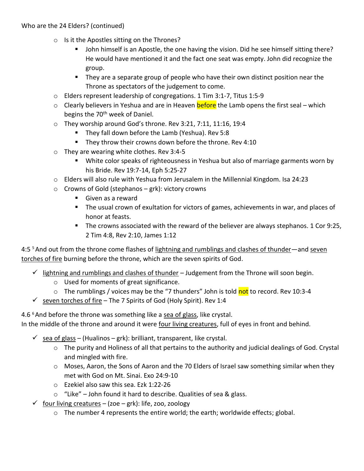## Who are the 24 Elders? (continued)

- o Is it the Apostles sitting on the Thrones?
	- John himself is an Apostle, the one having the vision. Did he see himself sitting there? He would have mentioned it and the fact one seat was empty. John did recognize the group.
	- **■** They are a separate group of people who have their own distinct position near the Throne as spectators of the judgement to come.
- o Elders represent leadership of congregations. 1 Tim 3:1-7, Titus 1:5-9
- o Clearly believers in Yeshua and are in Heaven before the Lamb opens the first seal which begins the 70<sup>th</sup> week of Daniel.
- o They worship around God's throne. Rev 3:21, 7:11, 11:16, 19:4
	- They fall down before the Lamb (Yeshua). Rev 5:8
	- They throw their crowns down before the throne. Rev 4:10
- o They are wearing white clothes. Rev 3:4-5
	- **E** White color speaks of righteousness in Yeshua but also of marriage garments worn by his Bride. Rev 19:7-14, Eph 5:25-27
- o Elders will also rule with Yeshua from Jerusalem in the Millennial Kingdom. Isa 24:23
- o Crowns of Gold (stephanos grk): victory crowns
	- Given as a reward
	- The usual crown of exultation for victors of games, achievements in war, and places of honor at feasts.
	- The crowns associated with the reward of the believer are always stephanos. 1 Cor 9:25, 2 Tim 4:8, Rev 2:10, James 1:12

4:5<sup>5</sup> And out from the throne come flashes of lightning and rumblings and clashes of thunder—and seven torches of fire burning before the throne, which are the seven spirits of God.

- $\checkmark$  lightning and rumblings and clashes of thunder Judgement from the Throne will soon begin.
	- o Used for moments of great significance.
	- o The rumblings / voices may be the "7 thunders" John is told not to record. Rev 10:3-4
- ✓ seven torches of fire The 7 Spirits of God (Holy Spirit). Rev 1:4

4.6<sup>6</sup> And before the throne was something like a sea of glass, like crystal.

In the middle of the throne and around it were four living creatures, full of eyes in front and behind.

- $\checkmark$  sea of glass (Hualinos grk): brilliant, transparent, like crystal.
	- $\circ$  The purity and Holiness of all that pertains to the authority and judicial dealings of God. Crystal and mingled with fire.
	- o Moses, Aaron, the Sons of Aaron and the 70 Elders of Israel saw something similar when they met with God on Mt. Sinai. Exo 24:9-10
	- o Ezekiel also saw this sea. Ezk 1:22-26
	- $\circ$  "Like" John found it hard to describe. Qualities of sea & glass.
- $\checkmark$  four living creatures (zoe grk): life, zoo, zoology
	- $\circ$  The number 4 represents the entire world; the earth; worldwide effects; global.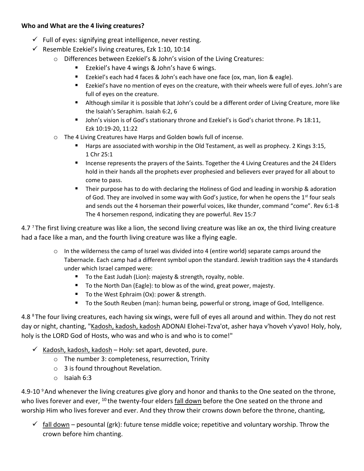### **Who and What are the 4 living creatures?**

- $\checkmark$  Full of eyes: signifying great intelligence, never resting.
- $\checkmark$  Resemble Ezekiel's living creatures, Ezk 1:10, 10:14
	- o Differences between Ezekiel's & John's vision of the Living Creatures:
		- Ezekiel's have 4 wings & John's have 6 wings.
		- Ezekiel's each had 4 faces & John's each have one face (ox, man, lion & eagle).
		- Ezekiel's have no mention of eyes on the creature, with their wheels were full of eyes. John's are full of eyes on the creature.
		- Although similar it is possible that John's could be a different order of Living Creature, more like the Isaiah's Seraphim. Isaiah 6:2, 6
		- John's vision is of God's stationary throne and Ezekiel's is God's chariot throne. Ps 18:11, Ezk 10:19-20, 11:22
	- o The 4 Living Creatures have Harps and Golden bowls full of incense.
		- Harps are associated with worship in the Old Testament, as well as prophecy. 2 Kings 3:15, 1 Chr 25:1
		- Incense represents the prayers of the Saints. Together the 4 Living Creatures and the 24 Elders hold in their hands all the prophets ever prophesied and believers ever prayed for all about to come to pass.
		- Their purpose has to do with declaring the Holiness of God and leading in worship & adoration of God. They are involved in some way with God's justice, for when he opens the  $1<sup>st</sup>$  four seals and sends out the 4 horseman their powerful voices, like thunder, command "come". Rev 6:1-8 The 4 horsemen respond, indicating they are powerful. Rev 15:7

4.7 <sup>7</sup>The first living creature was like a lion, the second living creature was like an ox, the third living creature had a face like a man, and the fourth living creature was like a flying eagle.

- $\circ$  In the wilderness the camp of Israel was divided into 4 (entire world) separate camps around the Tabernacle. Each camp had a different symbol upon the standard. Jewish tradition says the 4 standards under which Israel camped were:
	- To the East Judah (Lion): majesty & strength, royalty, noble.
	- To the North Dan (Eagle): to blow as of the wind, great power, majesty.
	- To the West Ephraim (Ox): power & strength.
	- To the South Reuben (man): human being, powerful or strong, image of God, Intelligence.

4.8 <sup>8</sup>The four living creatures, each having six wings, were full of eyes all around and within. They do not rest day or night, chanting, "Kadosh, kadosh, kadosh ADONAI Elohei-Tzva'ot, asher haya v'hoveh v'yavo! Holy, holy, holy is the LORD God of Hosts, who was and who is and who is to come!"

- $\checkmark$  Kadosh, kadosh, kadosh Holy: set apart, devoted, pure.
	- o The number 3: completeness, resurrection, Trinity
	- $\circ$  3 is found throughout Revelation.
	- o Isaiah 6:3

4.9-10 <sup>9</sup> And whenever the living creatures give glory and honor and thanks to the One seated on the throne, who lives forever and ever,  $^{10}$  the twenty-four elders fall down before the One seated on the throne and worship Him who lives forever and ever. And they throw their crowns down before the throne, chanting,

 $\checkmark$  fall down – pesountal (grk): future tense middle voice; repetitive and voluntary worship. Throw the crown before him chanting.